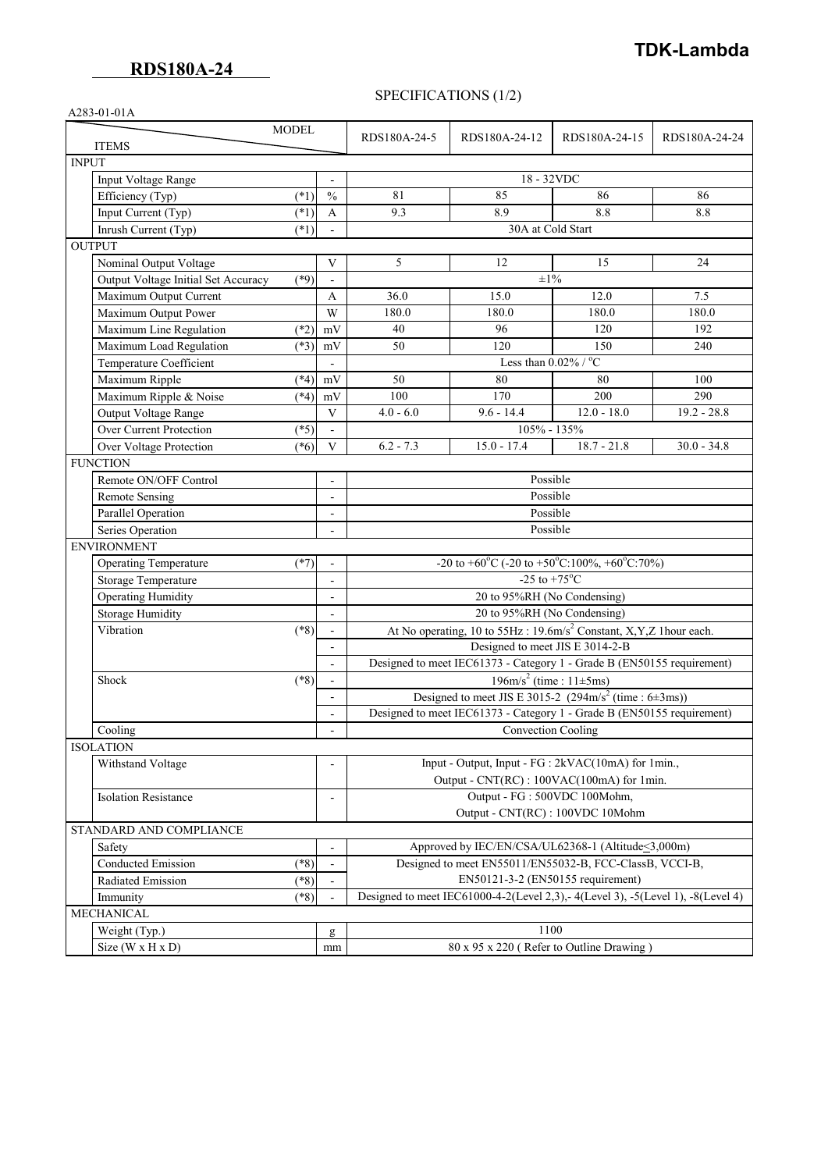# **TDK-Lambda**

### SPECIFICATIONS (1/2)

| A283-01-01A                                   |                              |                                                                                                   |                   |               |               |
|-----------------------------------------------|------------------------------|---------------------------------------------------------------------------------------------------|-------------------|---------------|---------------|
| <b>MODEL</b>                                  |                              |                                                                                                   |                   |               |               |
| <b>ITEMS</b>                                  |                              | RDS180A-24-5                                                                                      | RDS180A-24-12     | RDS180A-24-15 | RDS180A-24-24 |
| <b>INPUT</b>                                  |                              |                                                                                                   |                   |               |               |
| Input Voltage Range                           |                              | 18 - 32VDC                                                                                        |                   |               |               |
| Efficiency (Typ)<br>$(*1)$                    | $\frac{0}{0}$                | 81                                                                                                | 85                | 86            | 86            |
| Input Current (Typ)<br>$(*1)$                 | A                            | 9.3                                                                                               | 8.9               | 8.8           | 8.8           |
| Inrush Current (Typ)<br>$(*1)$                |                              |                                                                                                   | 30A at Cold Start |               |               |
| <b>OUTPUT</b>                                 |                              |                                                                                                   |                   |               |               |
| Nominal Output Voltage                        | V                            | 5                                                                                                 | 12                | 15            | 24            |
| Output Voltage Initial Set Accuracy<br>$(*9)$ | $\blacksquare$               |                                                                                                   | $\pm 1\%$         |               |               |
| Maximum Output Current                        | A                            | 36.0                                                                                              | 15.0              | 12.0          | 7.5           |
| Maximum Output Power                          | W                            | 180.0                                                                                             | 180.0             | 180.0         | 180.0         |
| Maximum Line Regulation<br>$(*2)$             | mV                           | 40                                                                                                | 96                | 120           | 192           |
| Maximum Load Regulation<br>$(*3)$             | mV                           | 50                                                                                                | 120               | 150           | 240           |
| Temperature Coefficient                       | $\blacksquare$               | Less than $0.02\%$ / $\overline{^{\circ}C}$                                                       |                   |               |               |
| Maximum Ripple<br>$(*4)$                      | mV                           | 50                                                                                                | 80                | 80            | 100           |
| Maximum Ripple & Noise<br>$(*4)$              | mV                           | 100                                                                                               | 170               | 200           | 290           |
| Output Voltage Range                          | $\mathbf{V}$                 | $4.0 - 6.0$                                                                                       | $9.6 - 14.4$      | $12.0 - 18.0$ | $19.2 - 28.8$ |
| <b>Over Current Protection</b><br>$(*5)$      | $\overline{\phantom{a}}$     | 105% - 135%                                                                                       |                   |               |               |
| Over Voltage Protection<br>$(*6)$             | V                            | $6.2 - 7.3$                                                                                       | $15.0 - 17.4$     | $18.7 - 21.8$ | $30.0 - 34.8$ |
| <b>FUNCTION</b>                               |                              |                                                                                                   |                   |               |               |
| Remote ON/OFF Control                         | $\blacksquare$               | Possible                                                                                          |                   |               |               |
| <b>Remote Sensing</b>                         | $\blacksquare$               | Possible                                                                                          |                   |               |               |
| Parallel Operation                            | $\overline{\phantom{a}}$     | Possible                                                                                          |                   |               |               |
| Series Operation                              | ÷,                           | Possible                                                                                          |                   |               |               |
| <b>ENVIRONMENT</b>                            |                              |                                                                                                   |                   |               |               |
| <b>Operating Temperature</b><br>$(*7)$        | $\blacksquare$               | $-20$ to +60°C (-20 to +50°C:100%, +60°C:70%)                                                     |                   |               |               |
| Storage Temperature                           | $\overline{\phantom{a}}$     | -25 to +75 $^{\circ}$ C                                                                           |                   |               |               |
| <b>Operating Humidity</b>                     | $\overline{\phantom{a}}$     | 20 to 95%RH (No Condensing)                                                                       |                   |               |               |
| <b>Storage Humidity</b>                       | $\blacksquare$               | 20 to 95%RH (No Condensing)                                                                       |                   |               |               |
| Vibration<br>$(*8)$                           | $\blacksquare$               | At No operating, 10 to $55\text{Hz}$ : 19.6m/s <sup>2</sup> Constant, X,Y,Z 1hour each.           |                   |               |               |
|                                               | $\blacksquare$               | Designed to meet JIS E 3014-2-B                                                                   |                   |               |               |
|                                               |                              | Designed to meet IEC61373 - Category 1 - Grade B (EN50155 requirement)                            |                   |               |               |
| $(*8)$<br>Shock                               | $\overline{\phantom{a}}$     | $196 \text{m/s}^2$ (time : $11 \pm 5 \text{ms}$ )                                                 |                   |               |               |
|                                               | ÷,                           | Designed to meet JIS E 3015-2 (294m/s <sup>2</sup> (time : $6\pm3$ ms))                           |                   |               |               |
|                                               |                              | Designed to meet IEC61373 - Category 1 - Grade B (EN50155 requirement)                            |                   |               |               |
| Cooling                                       | $\qquad \qquad \blacksquare$ | Convection Cooling                                                                                |                   |               |               |
| <b>ISOLATION</b>                              |                              |                                                                                                   |                   |               |               |
| Withstand Voltage                             |                              | Input - Output, Input - FG : 2kVAC(10mA) for 1min.,<br>Output - CNT(RC) : 100VAC(100mA) for 1min. |                   |               |               |
|                                               |                              |                                                                                                   |                   |               |               |
| <b>Isolation Resistance</b>                   | $\qquad \qquad \blacksquare$ | Output - FG: 500VDC 100Mohm,                                                                      |                   |               |               |
|                                               |                              | Output - CNT(RC) : 100VDC 10Mohm                                                                  |                   |               |               |
| STANDARD AND COMPLIANCE                       |                              |                                                                                                   |                   |               |               |
| Safety                                        | ÷,                           | Approved by IEC/EN/CSA/UL62368-1 (Altitude < 3,000m)                                              |                   |               |               |
| $(*8)$<br><b>Conducted Emission</b>           | $\overline{\phantom{a}}$     | Designed to meet EN55011/EN55032-B, FCC-ClassB, VCCI-B,                                           |                   |               |               |
| $(*8)$<br>Radiated Emission                   | $\frac{1}{2}$                | EN50121-3-2 (EN50155 requirement)                                                                 |                   |               |               |
| $(*8)$<br>Immunity                            |                              | Designed to meet IEC61000-4-2(Level 2,3), -4(Level 3), -5(Level 1), -8(Level 4)                   |                   |               |               |
| MECHANICAL                                    |                              |                                                                                                   |                   |               |               |
| Weight (Typ.)                                 | g                            | 1100                                                                                              |                   |               |               |
| Size (W x H x D)                              | mm                           | $80 \times 95 \times 220$ (Refer to Outline Drawing)                                              |                   |               |               |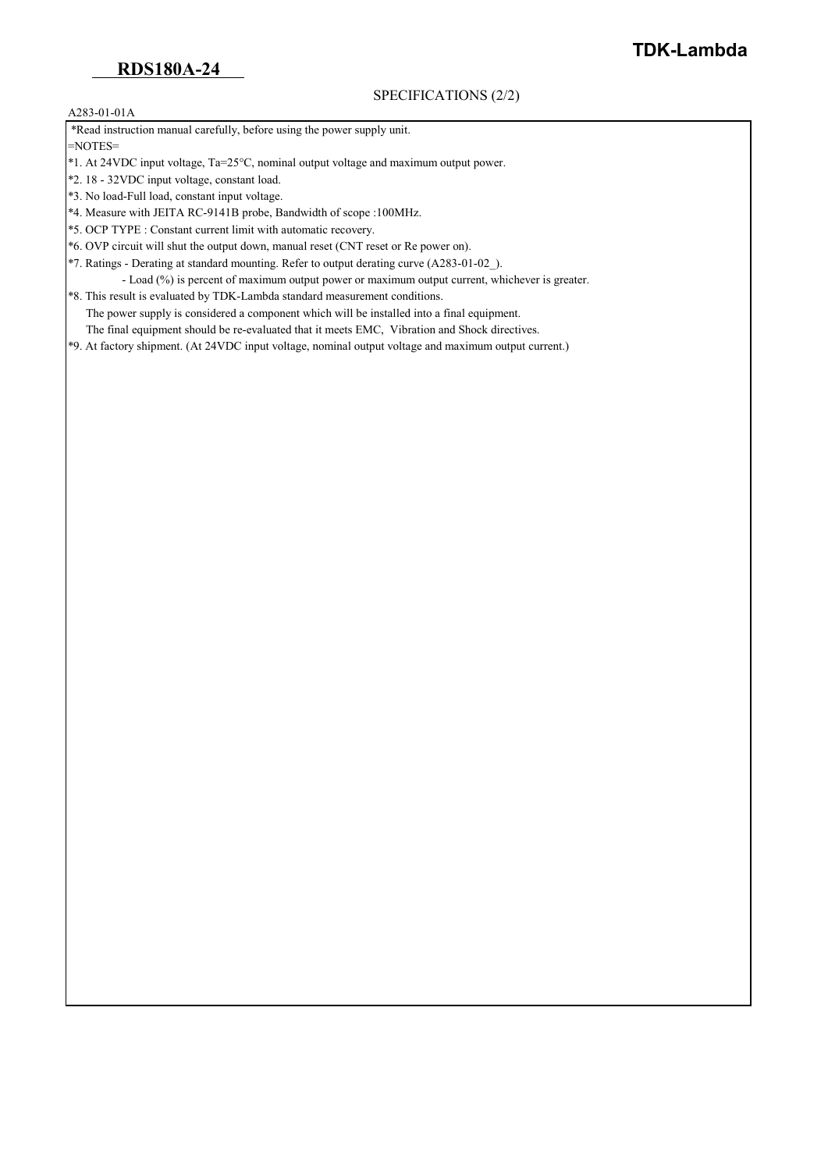SPECIFICATIONS (2/2)

**TDK-Lambda**

#### A283-01-01A

\*Read instruction manual carefully, before using the power supply unit.

=NOTES=

- \*1. At 24VDC input voltage, Ta=25°C, nominal output voltage and maximum output power.
- \*2. 18 32VDC input voltage, constant load.
- \*3. No load-Full load, constant input voltage.
- \*4. Measure with JEITA RC-9141B probe, Bandwidth of scope :100MHz.
- \*5. OCP TYPE : Constant current limit with automatic recovery.
- \*6. OVP circuit will shut the output down, manual reset (CNT reset or Re power on).
- \*7. Ratings Derating at standard mounting. Refer to output derating curve (A283-01-02\_).
- Load (%) is percent of maximum output power or maximum output current, whichever is greater. \*8. This result is evaluated by TDK-Lambda standard measurement conditions.
- The power supply is considered a component which will be installed into a final equipment.
	- The final equipment should be re-evaluated that it meets EMC, Vibration and Shock directives.
- \*9. At factory shipment. (At 24VDC input voltage, nominal output voltage and maximum output current.)